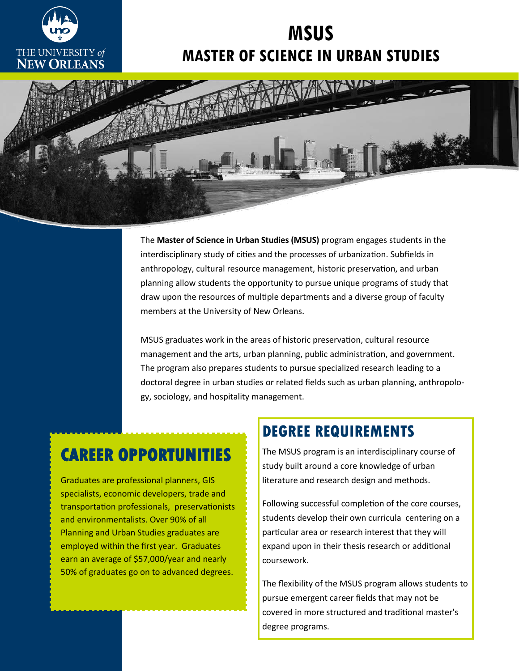

# **MSUS MASTER OF SCIENCE IN URBAN STUDIES**



The **Master of Science in Urban Studies (MSUS)** program engages students in the interdisciplinary study of cities and the processes of urbanization. Subfields in anthropology, cultural resource management, historic preservation, and urban planning allow students the opportunity to pursue unique programs of study that draw upon the resources of multiple departments and a diverse group of faculty members at the University of New Orleans.

MSUS graduates work in the areas of historic preservation, cultural resource management and the arts, urban planning, public administration, and government. The program also prepares students to pursue specialized research leading to a doctoral degree in urban studies or related fields such as urban planning, anthropology, sociology, and hospitality management.

# **CAREER OPPORTUNITIES**

Graduates are professional planners, GIS specialists, economic developers, trade and transportation professionals, preservationists and environmentalists. Over 90% of all Planning and Urban Studies graduates are employed within the first year. Graduates earn an average of \$57,000/year and nearly 50% of graduates go on to advanced degrees.

### **DEGREE REQUIREMENTS**

The MSUS program is an interdisciplinary course of study built around a core knowledge of urban literature and research design and methods.

Following successful completion of the core courses, students develop their own curricula centering on a particular area or research interest that they will expand upon in their thesis research or additional coursework.

The flexibility of the MSUS program allows students to pursue emergent career fields that may not be covered in more structured and traditional master's degree programs.